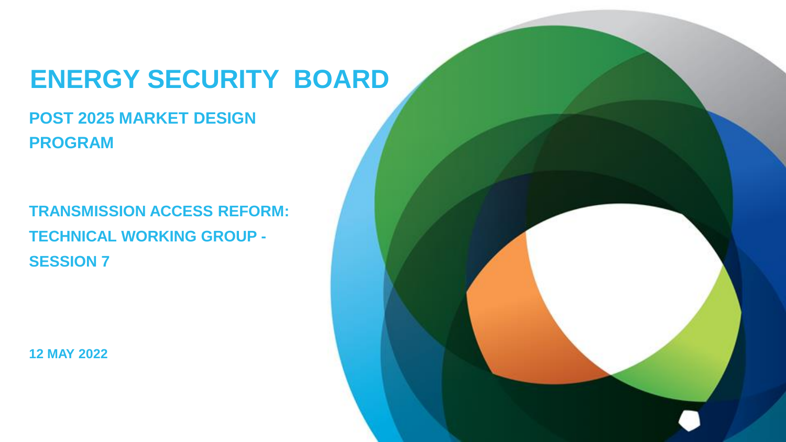# **ENERGY SECURITY BOARD**

## **POST 2025 MARKET DESIGN PROGRAM**

**TRANSMISSION ACCESS REFORM: TECHNICAL WORKING GROUP - SESSION 7**

**12 MAY 2022**

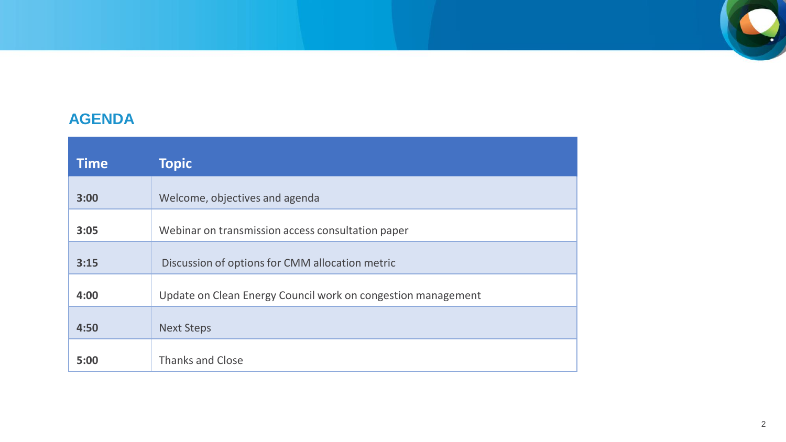

#### **AGENDA**

| <b>Time</b> | <b>Topic</b>                                                 |
|-------------|--------------------------------------------------------------|
| 3:00        | Welcome, objectives and agenda                               |
| 3:05        | Webinar on transmission access consultation paper            |
| 3:15        | Discussion of options for CMM allocation metric              |
| 4:00        | Update on Clean Energy Council work on congestion management |
| 4:50        | <b>Next Steps</b>                                            |
| 5:00        | Thanks and Close                                             |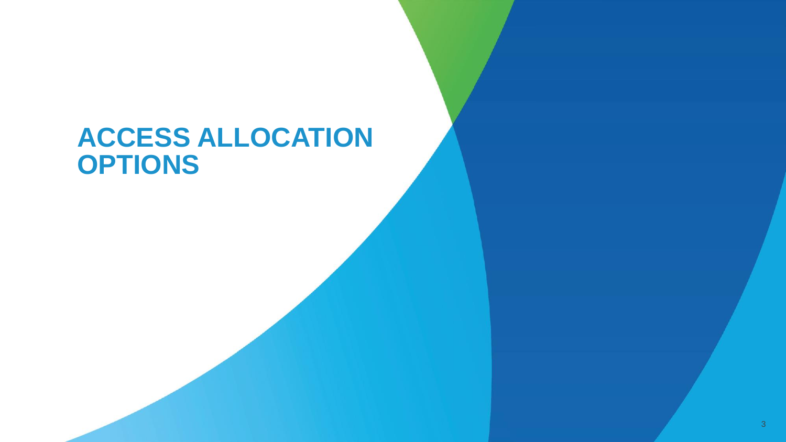# **ACCESS ALLOCATION OPTIONS**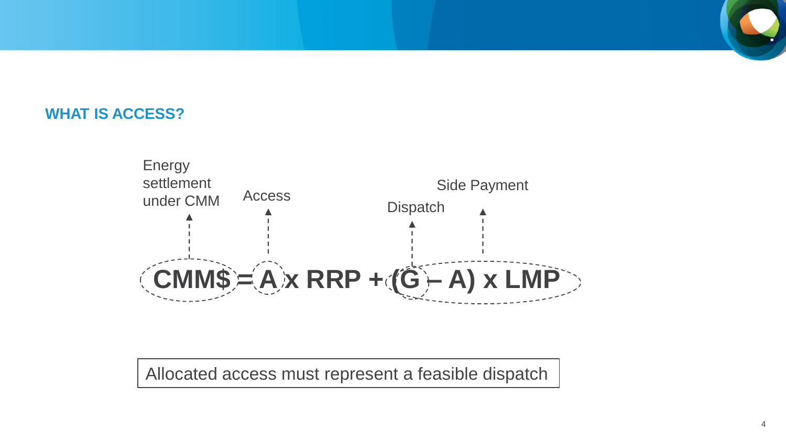#### **WHAT IS ACCESS?**



Allocated access must represent a feasible dispatch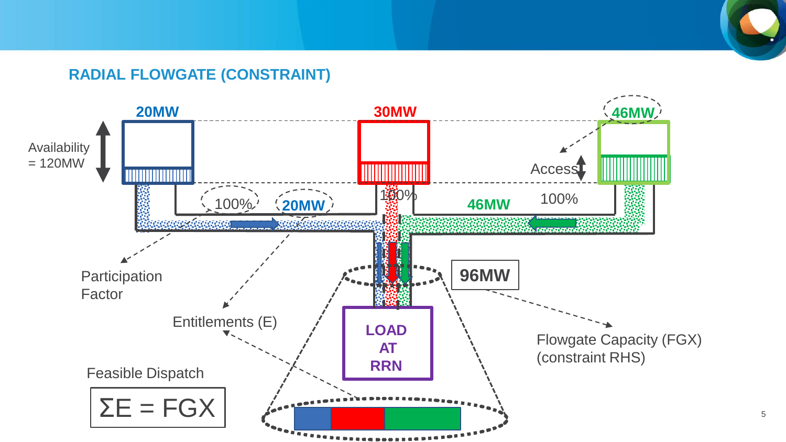#### **RADIAL FLOWGATE (CONSTRAINT)**

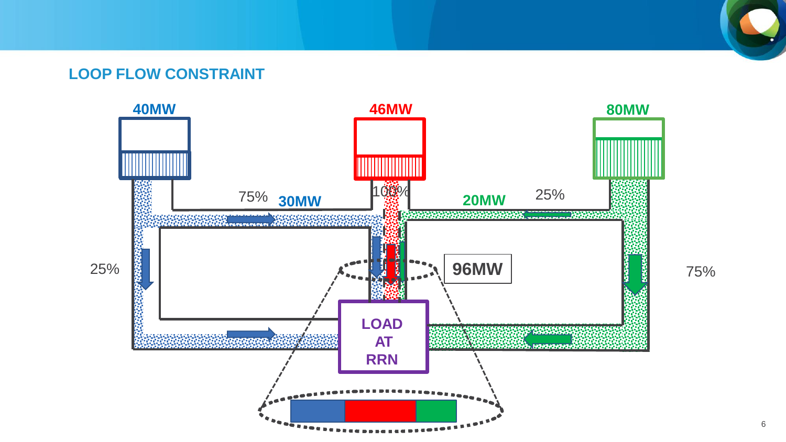#### **LOOP FLOW CONSTRAINT**

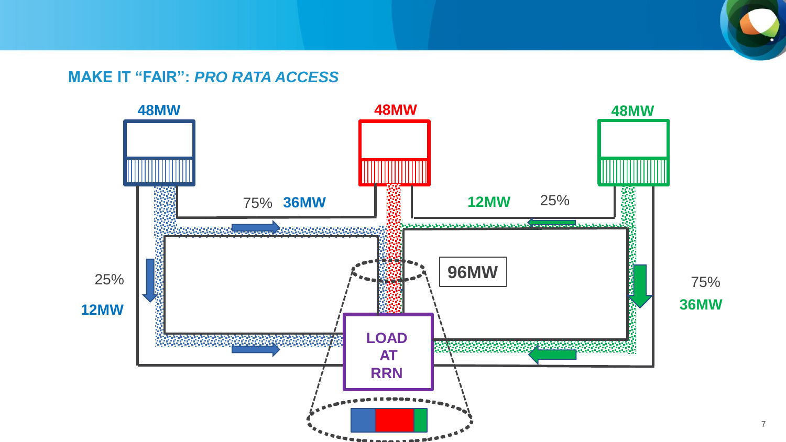#### **MAKE IT "FAIR":** *PRO RATA ACCESS*

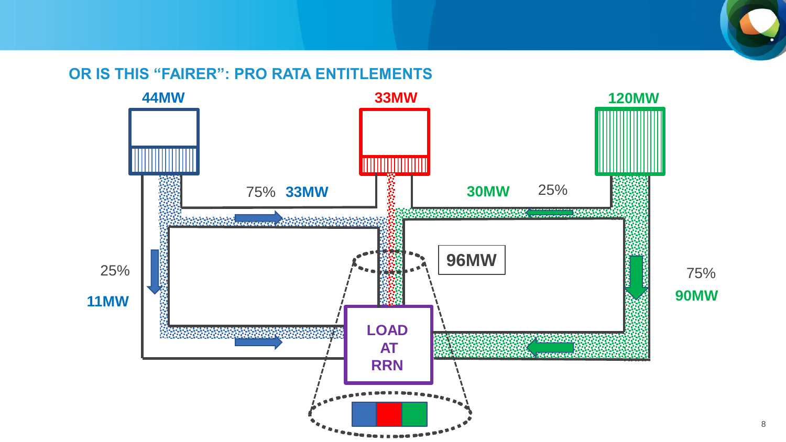#### **OR IS THIS "FAIRER": PRO RATA ENTITLEMENTS**

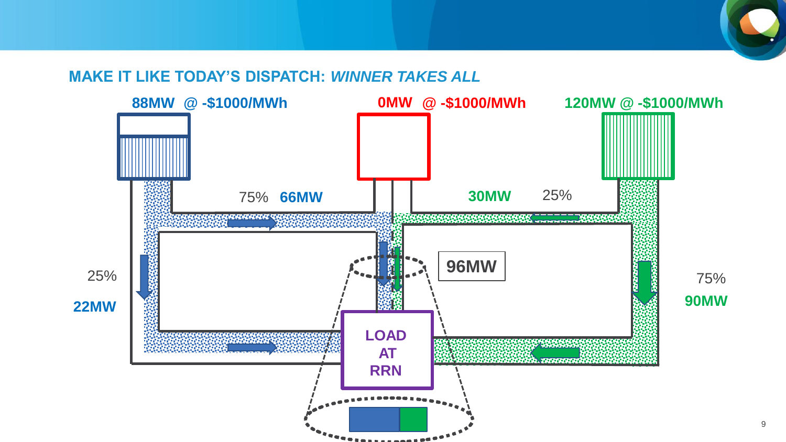#### **MAKE IT LIKE TODAY'S DISPATCH:** *WINNER TAKES ALL*

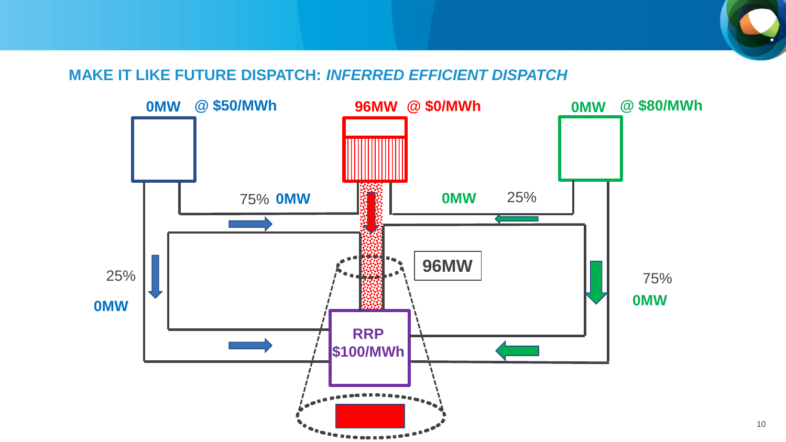#### **MAKE IT LIKE FUTURE DISPATCH:** *INFERRED EFFICIENT DISPATCH*

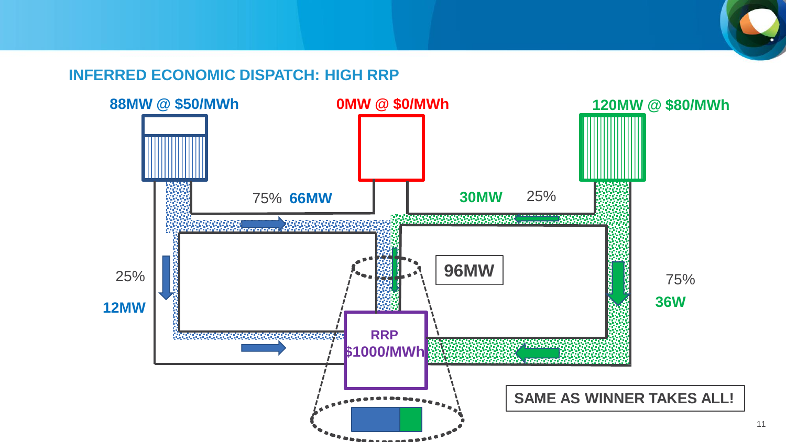#### **INFERRED ECONOMIC DISPATCH: HIGH RRP**

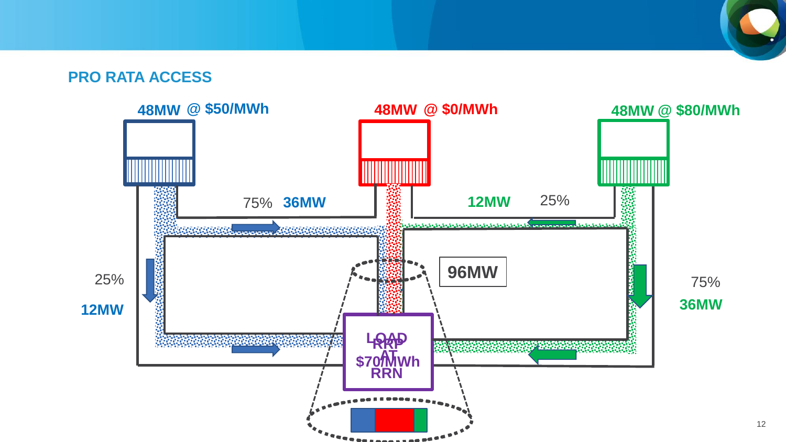#### **PRO RATA ACCESS**

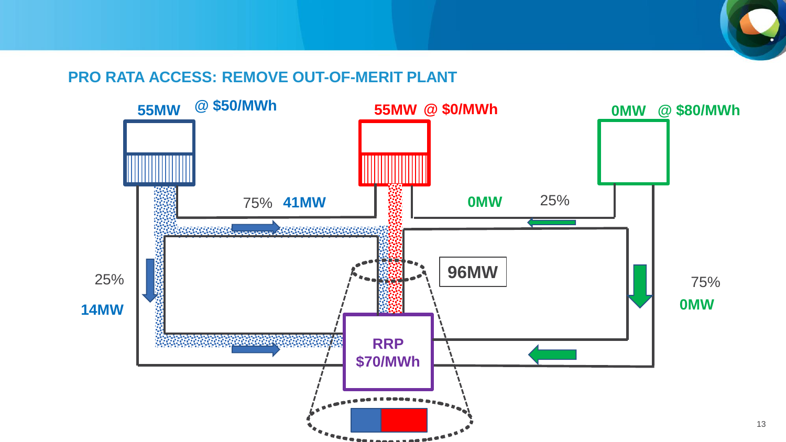#### **PRO RATA ACCESS: REMOVE OUT-OF-MERIT PLANT**

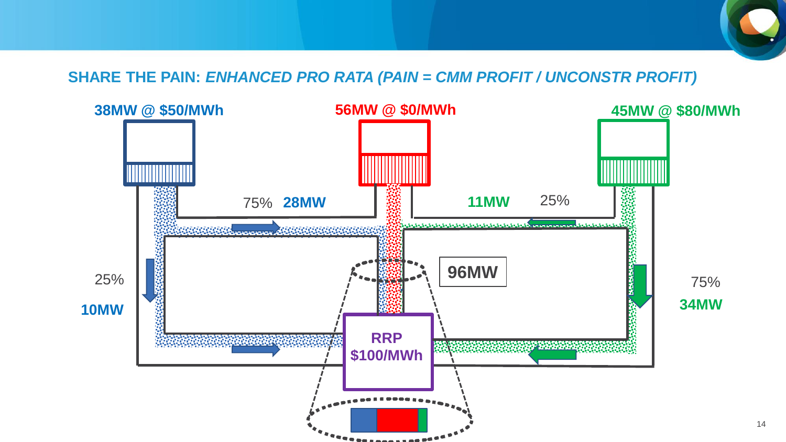

14

#### **SHARE THE PAIN:** *ENHANCED PRO RATA (PAIN = CMM PROFIT / UNCONSTR PROFIT)*

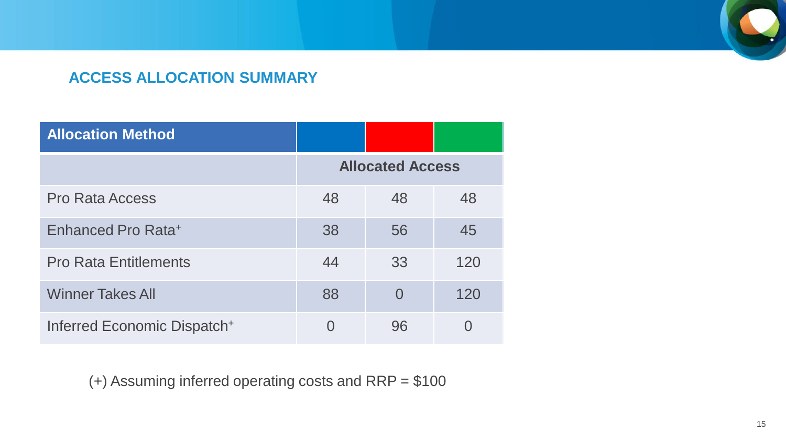

### **ACCESS ALLOCATION SUMMARY**

| <b>Allocation Method</b>                |                         |                |                |
|-----------------------------------------|-------------------------|----------------|----------------|
|                                         | <b>Allocated Access</b> |                |                |
| <b>Pro Rata Access</b>                  | 48                      | 48             | 48             |
| Enhanced Pro Rata <sup>+</sup>          | 38                      | 56             | 45             |
| <b>Pro Rata Entitlements</b>            | 44                      | 33             | 120            |
| <b>Winner Takes All</b>                 | 88                      | $\overline{0}$ | 120            |
| Inferred Economic Dispatch <sup>+</sup> | $\overline{0}$          | 96             | $\overline{0}$ |

(+) Assuming inferred operating costs and RRP = \$100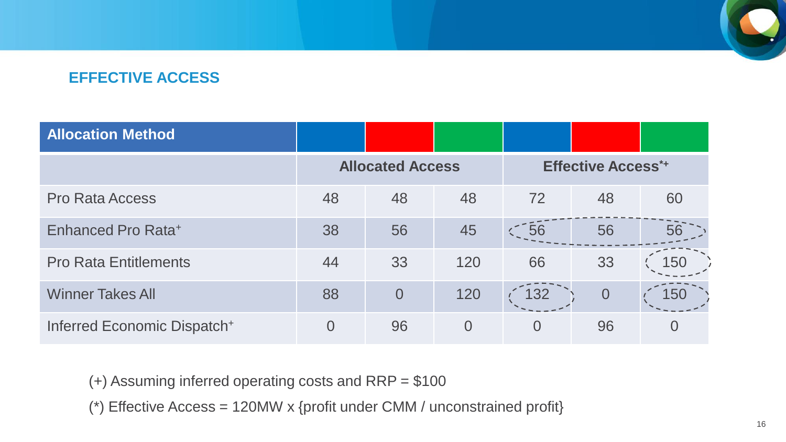

### **EFFECTIVE ACCESS**

| <b>Allocation Method</b>     |                         |                |          |                           |                |     |
|------------------------------|-------------------------|----------------|----------|---------------------------|----------------|-----|
|                              | <b>Allocated Access</b> |                |          | <b>Effective Access*+</b> |                |     |
| <b>Pro Rata Access</b>       | 48                      | 48             | 48       | 72                        | 48             | 60  |
| Enhanced Pro Rata+           | 38                      | 56             | 45       | 56                        | 56             | 56  |
| <b>Pro Rata Entitlements</b> | 44                      | 33             | 120      | 66                        | 33             | 150 |
| <b>Winner Takes All</b>      | 88                      | $\overline{0}$ | 120      | 132                       | $\overline{0}$ | 150 |
| Inferred Economic Dispatch+  | $\overline{0}$          | 96             | $\Omega$ | $\Omega$                  | 96             |     |

(+) Assuming inferred operating costs and RRP = \$100

(\*) Effective Access = 120MW x {profit under CMM / unconstrained profit}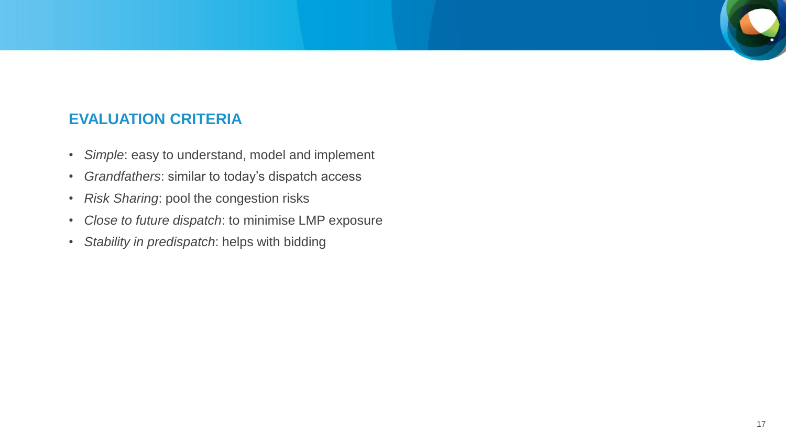#### **EVALUATION CRITERIA**

- *Simple*: easy to understand, model and implement
- *Grandfathers*: similar to today's dispatch access
- *Risk Sharing*: pool the congestion risks
- *Close to future dispatch*: to minimise LMP exposure
- *Stability in predispatch*: helps with bidding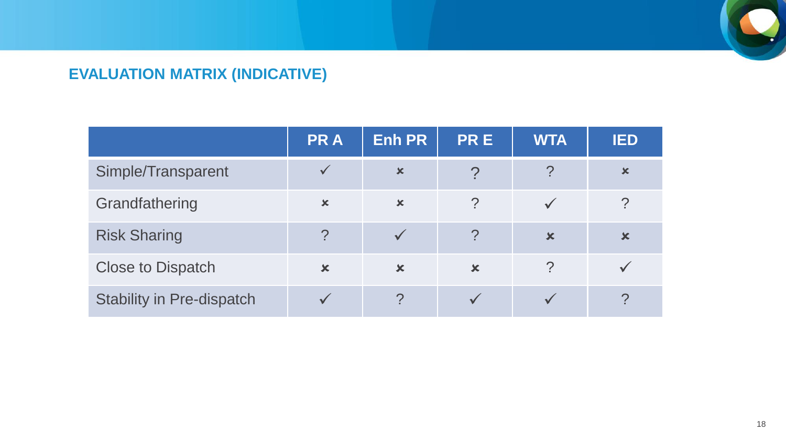

### **EVALUATION MATRIX (INDICATIVE)**

|                                  | <b>PRA</b>                | <b>Enh PR</b>             | <b>PRE</b>     | <b>WTA</b>                | <b>IED</b>                |
|----------------------------------|---------------------------|---------------------------|----------------|---------------------------|---------------------------|
| Simple/Transparent               | $\checkmark$              | $\boldsymbol{\mathsf{x}}$ |                |                           | $\boldsymbol{\mathsf{x}}$ |
| Grandfathering                   | $\boldsymbol{\mathsf{x}}$ | $\mathbf x$               | $\mathcal{P}$  |                           | ?                         |
| <b>Risk Sharing</b>              | $\cdot$                   |                           | $\overline{?}$ | $\boldsymbol{\mathsf{x}}$ | $\mathbf x$               |
| <b>Close to Dispatch</b>         | $\mathbf x$               | $\mathbf x$               | $\mathbf x$    | ?                         |                           |
| <b>Stability in Pre-dispatch</b> |                           | $\mathcal{P}$             |                |                           | റ                         |